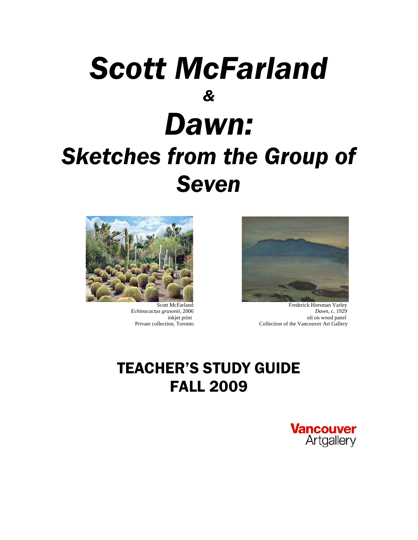# *Scott McFarland & Dawn: Sketches from the Group of Seven*



 Scott McFarland  *Echinocactus grusonii,* 2006 inkjet print Private collection, Toronto



 Frederick Horsman Varley *Dawn*, c. 1929 oil on wood panel Collection of the Vancouver Art Gallery

# TEACHER'S STUDY GUIDE FALL 2009

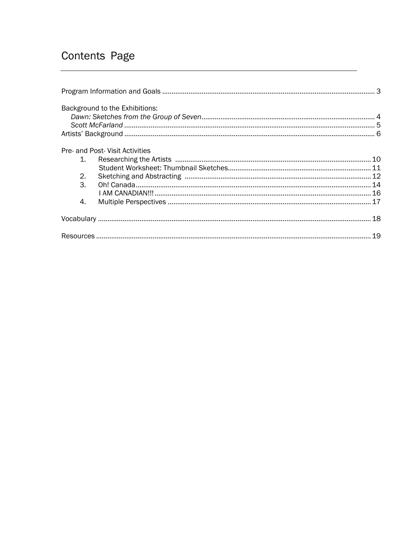# Contents Page

|                             | Background to the Exhibitions:  |  |
|-----------------------------|---------------------------------|--|
|                             |                                 |  |
|                             |                                 |  |
|                             |                                 |  |
|                             | Pre- and Post- Visit Activities |  |
| $1_{-}$                     |                                 |  |
|                             |                                 |  |
| 2.                          |                                 |  |
| $\mathcal{B}_{\mathcal{A}}$ |                                 |  |
|                             |                                 |  |
| 4.                          |                                 |  |
|                             |                                 |  |
|                             |                                 |  |
|                             |                                 |  |
|                             |                                 |  |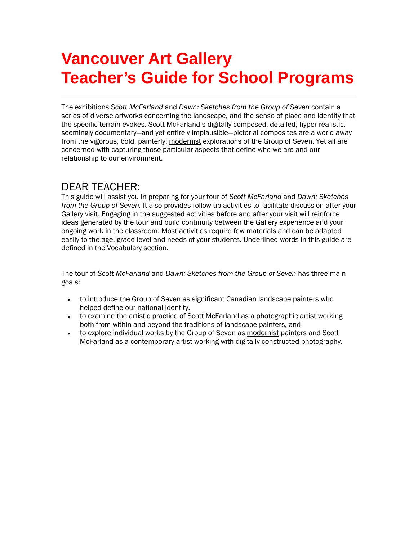# **Vancouver Art Gallery Teacher's Guide for School Programs**

The exhibitions *Scott McFarland* and *Dawn: Sketches from the Group of Seven* contain a series of diverse artworks concerning the landscape, and the sense of place and identity that the specific terrain evokes. Scott McFarland's digitally composed, detailed, hyper-realistic, seemingly documentary—and yet entirely implausible—pictorial composites are a world away from the vigorous, bold, painterly, modernist explorations of the Group of Seven. Yet all are concerned with capturing those particular aspects that define who we are and our relationship to our environment.

# DEAR TEACHER:

This guide will assist you in preparing for your tour of *Scott McFarland* and *Dawn: Sketches from the Group of Seven.* It also provides follow-up activities to facilitate discussion after your Gallery visit. Engaging in the suggested activities before and after your visit will reinforce ideas generated by the tour and build continuity between the Gallery experience and your ongoing work in the classroom. Most activities require few materials and can be adapted easily to the age, grade level and needs of your students. Underlined words in this guide are defined in the Vocabulary section.

The tour of *Scott McFarland* and *Dawn: Sketches from the Group of Seven* has three main goals:

- to introduce the Group of Seven as significant Canadian landscape painters who helped define our national identity,
- to examine the artistic practice of Scott McFarland as a photographic artist working both from within and beyond the traditions of landscape painters, and
- to explore individual works by the Group of Seven as modernist painters and Scott McFarland as a contemporary artist working with digitally constructed photography.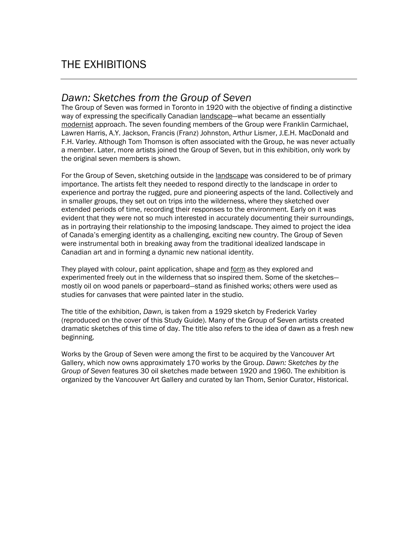# THE EXHIBITIONS

### *Dawn: Sketches from the Group of Seven*

The Group of Seven was formed in Toronto in 1920 with the objective of finding a distinctive way of expressing the specifically Canadian landscape-what became an essentially modernist approach. The seven founding members of the Group were Franklin Carmichael, Lawren Harris, A.Y. Jackson, Francis (Franz) Johnston, Arthur Lismer, J.E.H. MacDonald and F.H. Varley. Although Tom Thomson is often associated with the Group, he was never actually a member. Later, more artists joined the Group of Seven, but in this exhibition, only work by the original seven members is shown.

For the Group of Seven, sketching outside in the landscape was considered to be of primary importance. The artists felt they needed to respond directly to the landscape in order to experience and portray the rugged, pure and pioneering aspects of the land. Collectively and in smaller groups, they set out on trips into the wilderness, where they sketched over extended periods of time, recording their responses to the environment. Early on it was evident that they were not so much interested in accurately documenting their surroundings, as in portraying their relationship to the imposing landscape. They aimed to project the idea of Canada's emerging identity as a challenging, exciting new country. The Group of Seven were instrumental both in breaking away from the traditional idealized landscape in Canadian art and in forming a dynamic new national identity.

They played with colour, paint application, shape and form as they explored and experimented freely out in the wilderness that so inspired them. Some of the sketches mostly oil on wood panels or paperboard—stand as finished works; others were used as studies for canvases that were painted later in the studio.

The title of the exhibition, *Dawn,* is taken from a 1929 sketch by Frederick Varley (reproduced on the cover of this Study Guide). Many of the Group of Seven artists created dramatic sketches of this time of day. The title also refers to the idea of dawn as a fresh new beginning.

Works by the Group of Seven were among the first to be acquired by the Vancouver Art Gallery, which now owns approximately 170 works by the Group. *Dawn: Sketches by the Group of Seven* features 30 oil sketches made between 1920 and 1960. The exhibition is organized by the Vancouver Art Gallery and curated by Ian Thom, Senior Curator, Historical.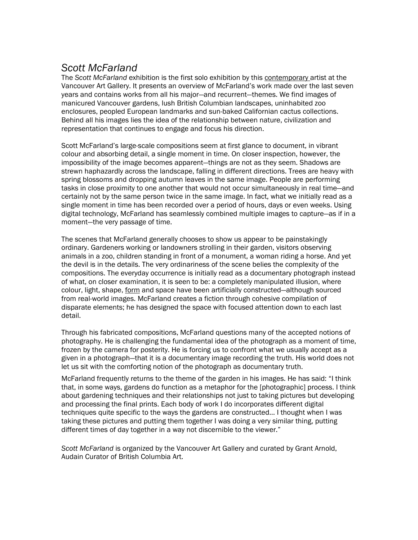## *Scott McFarland*

The *Scott McFarland* exhibition is the first solo exhibition by this contemporary artist at the Vancouver Art Gallery. It presents an overview of McFarland's work made over the last seven years and contains works from all his major—and recurrent—themes. We find images of manicured Vancouver gardens, lush British Columbian landscapes, uninhabited zoo enclosures, peopled European landmarks and sun-baked Californian cactus collections. Behind all his images lies the idea of the relationship between nature, civilization and representation that continues to engage and focus his direction.

Scott McFarland's large-scale compositions seem at first glance to document, in vibrant colour and absorbing detail, a single moment in time. On closer inspection, however, the impossibility of the image becomes apparent—things are not as they seem. Shadows are strewn haphazardly across the landscape, falling in different directions. Trees are heavy with spring blossoms and dropping autumn leaves in the same image. People are performing tasks in close proximity to one another that would not occur simultaneously in real time—and certainly not by the same person twice in the same image. In fact, what we initially read as a single moment in time has been recorded over a period of hours, days or even weeks. Using digital technology, McFarland has seamlessly combined multiple images to capture—as if in a moment—the very passage of time.

The scenes that McFarland generally chooses to show us appear to be painstakingly ordinary. Gardeners working or landowners strolling in their garden, visitors observing animals in a zoo, children standing in front of a monument, a woman riding a horse. And yet the devil is in the details. The very ordinariness of the scene belies the complexity of the compositions. The everyday occurrence is initially read as a documentary photograph instead of what, on closer examination, it is seen to be: a completely manipulated illusion, where colour, light, shape, form and space have been artificially constructed—although sourced from real-world images. McFarland creates a fiction through cohesive compilation of disparate elements; he has designed the space with focused attention down to each last detail.

Through his fabricated compositions, McFarland questions many of the accepted notions of photography. He is challenging the fundamental idea of the photograph as a moment of time, frozen by the camera for posterity. He is forcing us to confront what we usually accept as a given in a photograph—that it is a documentary image recording the truth. His world does not let us sit with the comforting notion of the photograph as documentary truth.

McFarland frequently returns to the theme of the garden in his images. He has said: "I think that, in some ways, gardens do function as a metaphor for the [photographic] process. I think about gardening techniques and their relationships not just to taking pictures but developing and processing the final prints. Each body of work I do incorporates different digital techniques quite specific to the ways the gardens are constructed... I thought when I was taking these pictures and putting them together I was doing a very similar thing, putting different times of day together in a way not discernible to the viewer."

*Scott McFarland* is organized by the Vancouver Art Gallery and curated by Grant Arnold, Audain Curator of British Columbia Art.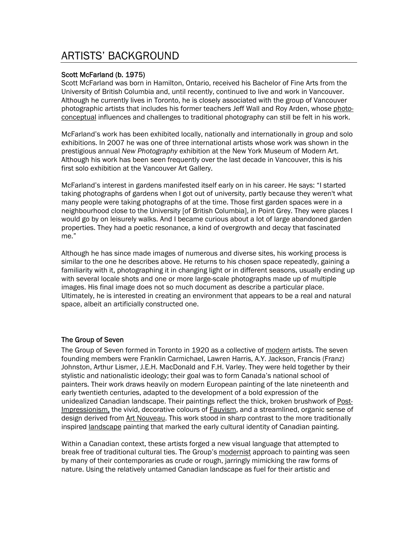# ARTISTS' BACKGROUND

### Scott McFarland (b. 1975)

Scott McFarland was born in Hamilton, Ontario, received his Bachelor of Fine Arts from the University of British Columbia and, until recently, continued to live and work in Vancouver. Although he currently lives in Toronto, he is closely associated with the group of Vancouver photographic artists that includes his former teachers Jeff Wall and Roy Arden, whose photoconceptual influences and challenges to traditional photography can still be felt in his work.

McFarland's work has been exhibited locally, nationally and internationally in group and solo exhibitions. In 2007 he was one of three international artists whose work was shown in the prestigious annual *New Photography* exhibition at the New York Museum of Modern Art. Although his work has been seen frequently over the last decade in Vancouver, this is his first solo exhibition at the Vancouver Art Gallery.

McFarland's interest in gardens manifested itself early on in his career. He says: "I started taking photographs of gardens when I got out of university, partly because they weren't what many people were taking photographs of at the time. Those first garden spaces were in a neighbourhood close to the University [of British Columbia], in Point Grey. They were places I would go by on leisurely walks. And I became curious about a lot of large abandoned garden properties. They had a poetic resonance, a kind of overgrowth and decay that fascinated me."

Although he has since made images of numerous and diverse sites, his working process is similar to the one he describes above. He returns to his chosen space repeatedly, gaining a familiarity with it, photographing it in changing light or in different seasons, usually ending up with several locale shots and one or more large-scale photographs made up of multiple images. His final image does not so much document as describe a particular place. Ultimately, he is interested in creating an environment that appears to be a real and natural space, albeit an artificially constructed one.

### The Group of Seven

The Group of Seven formed in Toronto in 1920 as a collective of modern artists. The seven founding members were Franklin Carmichael, Lawren Harris, A.Y. Jackson, Francis (Franz) Johnston, Arthur Lismer, J.E.H. MacDonald and F.H. Varley. They were held together by their stylistic and nationalistic ideology; their goal was to form Canada's national school of painters. Their work draws heavily on modern European painting of the late nineteenth and early twentieth centuries, adapted to the development of a bold expression of the unidealized Canadian landscape. Their paintings reflect the thick, broken brushwork of Post-Impressionism, the vivid, decorative colours of Fauvism, and a streamlined, organic sense of design derived from Art Nouveau. This work stood in sharp contrast to the more traditionally inspired landscape painting that marked the early cultural identity of Canadian painting.

Within a Canadian context, these artists forged a new visual language that attempted to break free of traditional cultural ties. The Group's modernist approach to painting was seen by many of their contemporaries as crude or rough, jarringly mimicking the raw forms of nature. Using the relatively untamed Canadian landscape as fuel for their artistic and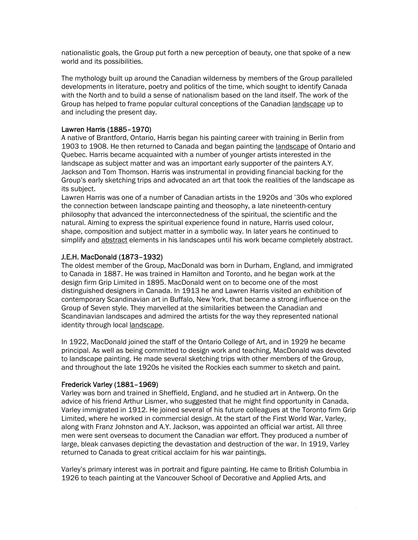nationalistic goals, the Group put forth a new perception of beauty, one that spoke of a new world and its possibilities.

The mythology built up around the Canadian wilderness by members of the Group paralleled developments in literature, poetry and politics of the time, which sought to identify Canada with the North and to build a sense of nationalism based on the land itself. The work of the Group has helped to frame popular cultural conceptions of the Canadian landscape up to and including the present day.

### Lawren Harris (1885–1970)

A native of Brantford, Ontario, Harris began his painting career with training in Berlin from 1903 to 1908. He then returned to Canada and began painting the landscape of Ontario and Quebec. Harris became acquainted with a number of younger artists interested in the landscape as subject matter and was an important early supporter of the painters A.Y. Jackson and Tom Thomson. Harris was instrumental in providing financial backing for the Group's early sketching trips and advocated an art that took the realities of the landscape as its subject.

Lawren Harris was one of a number of Canadian artists in the 1920s and '30s who explored the connection between landscape painting and theosophy, a late nineteenth-century philosophy that advanced the interconnectedness of the spiritual, the scientific and the natural. Aiming to express the spiritual experience found in nature, Harris used colour, shape, composition and subject matter in a symbolic way. In later years he continued to simplify and abstract elements in his landscapes until his work became completely abstract.

### J.E.H. MacDonald (1873–1932)

The oldest member of the Group, MacDonald was born in Durham, England, and immigrated to Canada in 1887. He was trained in Hamilton and Toronto, and he began work at the design firm Grip Limited in 1895. MacDonald went on to become one of the most distinguished designers in Canada. In 1913 he and Lawren Harris visited an exhibition of contemporary Scandinavian art in Buffalo, New York, that became a strong influence on the Group of Seven style. They marvelled at the similarities between the Canadian and Scandinavian landscapes and admired the artists for the way they represented national identity through local landscape.

In 1922, MacDonald joined the staff of the Ontario College of Art, and in 1929 he became principal. As well as being committed to design work and teaching, MacDonald was devoted to landscape painting. He made several sketching trips with other members of the Group, and throughout the late 1920s he visited the Rockies each summer to sketch and paint.

### Frederick Varley (1881–1969)

Varley was born and trained in Sheffield, England, and he studied art in Antwerp. On the advice of his friend Arthur Lismer, who suggested that he might find opportunity in Canada, Varley immigrated in 1912. He joined several of his future colleagues at the Toronto firm Grip Limited, where he worked in commercial design. At the start of the First World War, Varley, along with Franz Johnston and A.Y. Jackson, was appointed an official war artist. All three men were sent overseas to document the Canadian war effort. They produced a number of large, bleak canvases depicting the devastation and destruction of the war. In 1919, Varley returned to Canada to great critical acclaim for his war paintings.

Varley's primary interest was in portrait and figure painting. He came to British Columbia in 1926 to teach painting at the Vancouver School of Decorative and Applied Arts, and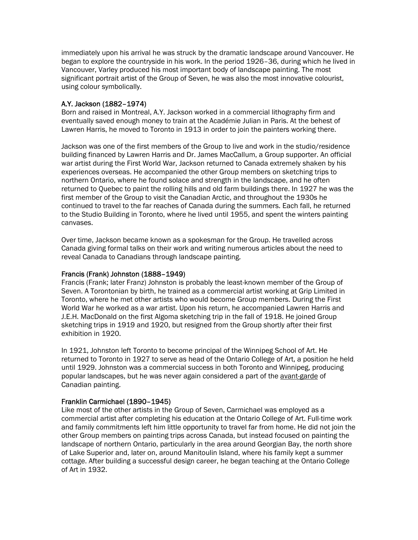immediately upon his arrival he was struck by the dramatic landscape around Vancouver. He began to explore the countryside in his work. In the period 1926–36, during which he lived in Vancouver, Varley produced his most important body of landscape painting. The most significant portrait artist of the Group of Seven, he was also the most innovative colourist, using colour symbolically.

### A.Y. Jackson (1882–1974)

Born and raised in Montreal, A.Y. Jackson worked in a commercial lithography firm and eventually saved enough money to train at the Académie Julian in Paris. At the behest of Lawren Harris, he moved to Toronto in 1913 in order to join the painters working there.

Jackson was one of the first members of the Group to live and work in the studio/residence building financed by Lawren Harris and Dr. James MacCallum, a Group supporter. An official war artist during the First World War, Jackson returned to Canada extremely shaken by his experiences overseas. He accompanied the other Group members on sketching trips to northern Ontario, where he found solace and strength in the landscape, and he often returned to Quebec to paint the rolling hills and old farm buildings there. In 1927 he was the first member of the Group to visit the Canadian Arctic, and throughout the 1930s he continued to travel to the far reaches of Canada during the summers. Each fall, he returned to the Studio Building in Toronto, where he lived until 1955, and spent the winters painting canvases.

Over time, Jackson became known as a spokesman for the Group. He travelled across Canada giving formal talks on their work and writing numerous articles about the need to reveal Canada to Canadians through landscape painting.

### Francis (Frank) Johnston (1888–1949)

Francis (Frank; later Franz) Johnston is probably the least-known member of the Group of Seven. A Torontonian by birth, he trained as a commercial artist working at Grip Limited in Toronto, where he met other artists who would become Group members. During the First World War he worked as a war artist. Upon his return, he accompanied Lawren Harris and J.E.H. MacDonald on the first Algoma sketching trip in the fall of 1918. He joined Group sketching trips in 1919 and 1920, but resigned from the Group shortly after their first exhibition in 1920.

In 1921, Johnston left Toronto to become principal of the Winnipeg School of Art. He returned to Toronto in 1927 to serve as head of the Ontario College of Art, a position he held until 1929. Johnston was a commercial success in both Toronto and Winnipeg, producing popular landscapes, but he was never again considered a part of the avant-garde of Canadian painting.

### Franklin Carmichael (1890–1945)

Like most of the other artists in the Group of Seven, Carmichael was employed as a commercial artist after completing his education at the Ontario College of Art. Full-time work and family commitments left him little opportunity to travel far from home. He did not join the other Group members on painting trips across Canada, but instead focused on painting the landscape of northern Ontario, particularly in the area around Georgian Bay, the north shore of Lake Superior and, later on, around Manitoulin Island, where his family kept a summer cottage. After building a successful design career, he began teaching at the Ontario College of Art in 1932.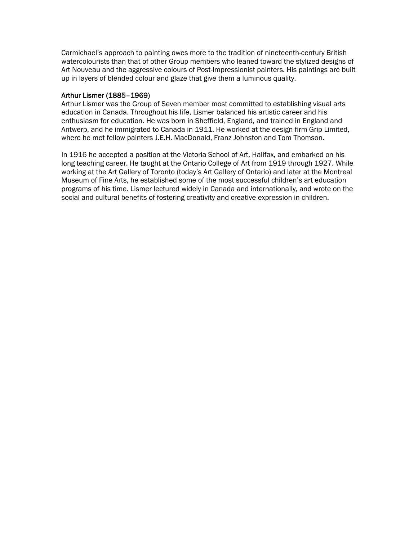Carmichael's approach to painting owes more to the tradition of nineteenth-century British watercolourists than that of other Group members who leaned toward the stylized designs of Art Nouveau and the aggressive colours of Post-Impressionist painters. His paintings are built up in layers of blended colour and glaze that give them a luminous quality.

### Arthur Lismer (1885–1969)

Arthur Lismer was the Group of Seven member most committed to establishing visual arts education in Canada. Throughout his life, Lismer balanced his artistic career and his enthusiasm for education. He was born in Sheffield, England, and trained in England and Antwerp, and he immigrated to Canada in 1911. He worked at the design firm Grip Limited, where he met fellow painters J.E.H. MacDonald, Franz Johnston and Tom Thomson.

In 1916 he accepted a position at the Victoria School of Art, Halifax, and embarked on his long teaching career. He taught at the Ontario College of Art from 1919 through 1927. While working at the Art Gallery of Toronto (today's Art Gallery of Ontario) and later at the Montreal Museum of Fine Arts, he established some of the most successful children's art education programs of his time. Lismer lectured widely in Canada and internationally, and wrote on the social and cultural benefits of fostering creativity and creative expression in children.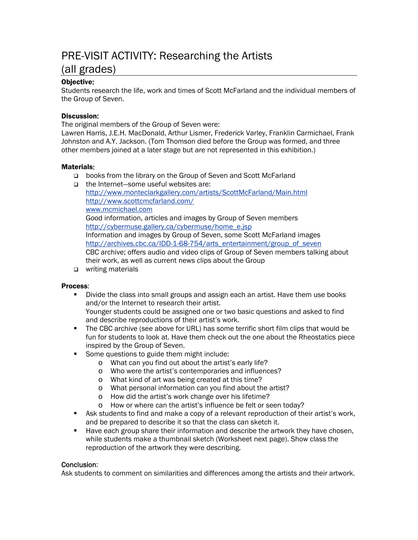# PRE-VISIT ACTIVITY: Researching the Artists (all grades)

### Objective:

Students research the life, work and times of Scott McFarland and the individual members of the Group of Seven.

### Discussion:

The original members of the Group of Seven were:

Lawren Harris, J.E.H. MacDonald, Arthur Lismer, Frederick Varley, Franklin Carmichael, Frank Johnston and A.Y. Jackson. (Tom Thomson died before the Group was formed, and three other members joined at a later stage but are not represented in this exhibition.)

### Materials:

- books from the library on the Group of Seven and Scott McFarland
- the Internet—some useful websites are: <http://www.monteclarkgallery.com/artists/ScottMcFarland/Main.html> <http://www.scottcmcfarland.com/> [www.mcmichael.com](http://www.mcmichael.com/) Good information, articles and images by Group of Seven members [http://cybermuse.gallery.ca/cybermuse/home\\_e.jsp](http://cybermuse.gallery.ca/cybermuse/home_e.jsp) Information and images by Group of Seven, some Scott McFarland images [http://archives.cbc.ca/IDD-1-68-754/arts\\_entertainment/group\\_of\\_seven](http://archives.cbc.ca/IDD-1-68-754/arts_entertainment/group_of_seven) CBC archive; offers audio and video clips of Group of Seven members talking about their work, as well as current news clips about the Group
- □ writing materials

### Process:

 Divide the class into small groups and assign each an artist. Have them use books and/or the Internet to research their artist.

Younger students could be assigned one or two basic questions and asked to find and describe reproductions of their artist's work.

- The CBC archive (see above for URL) has some terrific short film clips that would be fun for students to look at. Have them check out the one about the Rheostatics piece inspired by the Group of Seven.
- Some questions to guide them might include:
	- o What can you find out about the artist's early life?
	- o Who were the artist's contemporaries and influences?
	- o What kind of art was being created at this time?
	- o What personal information can you find about the artist?
	- o How did the artist's work change over his lifetime?
	- o How or where can the artist's influence be felt or seen today?
- Ask students to find and make a copy of a relevant reproduction of their artist's work, and be prepared to describe it so that the class can sketch it.
- **Have each group share their information and describe the artwork they have chosen,** while students make a thumbnail sketch (Worksheet next page). Show class the reproduction of the artwork they were describing.

### Conclusion:

Ask students to comment on similarities and differences among the artists and their artwork.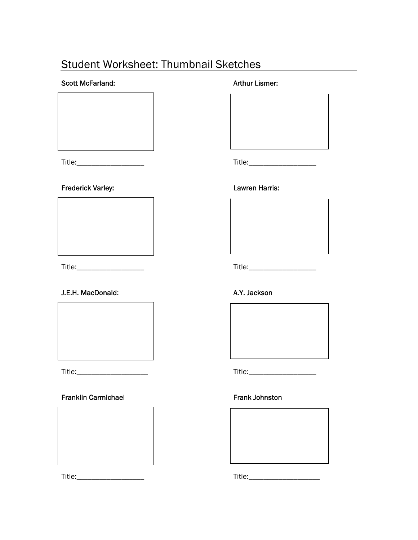# Student Worksheet: Thumbnail Sketches

### Scott McFarland: Arthur Lismer:

Title:\_\_\_\_\_\_\_\_\_\_\_\_\_\_\_\_\_\_ Title:\_\_\_\_\_\_\_\_\_\_\_\_\_\_\_\_\_\_

### Frederick Varley: Entertainment of the Lawren Harris:



### J.E.H. MacDonald: A.Y. Jackson



### Franklin Carmichael **Frank Johnston**



Title:\_\_\_\_\_\_\_\_\_\_\_\_\_\_\_\_\_\_ Title:\_\_\_\_\_\_\_\_\_\_\_\_\_\_\_\_\_\_\_



Title:\_\_\_\_\_\_\_\_\_\_\_\_\_\_\_\_\_\_ Title:\_\_\_\_\_\_\_\_\_\_\_\_\_\_\_\_\_\_



Title:\_\_\_\_\_\_\_\_\_\_\_\_\_\_\_\_\_\_\_ Title:\_\_\_\_\_\_\_\_\_\_\_\_\_\_\_\_\_\_

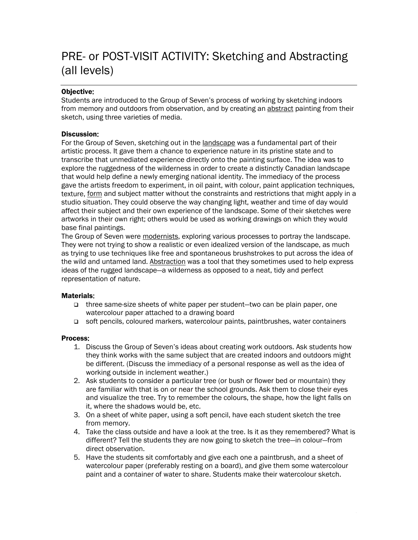# PRE- or POST-VISIT ACTIVITY: Sketching and Abstracting (all levels)

### Objective:

Students are introduced to the Group of Seven's process of working by sketching indoors from memory and outdoors from observation, and by creating an abstract painting from their sketch, using three varieties of media.

### Discussion:

For the Group of Seven, sketching out in the landscape was a fundamental part of their artistic process. It gave them a chance to experience nature in its pristine state and to transcribe that unmediated experience directly onto the painting surface. The idea was to explore the ruggedness of the wilderness in order to create a distinctly Canadian landscape that would help define a newly emerging national identity. The immediacy of the process gave the artists freedom to experiment, in oil paint, with colour, paint application techniques, texture, form and subject matter without the constraints and restrictions that might apply in a studio situation. They could observe the way changing light, weather and time of day would affect their subject and their own experience of the landscape. Some of their sketches were artworks in their own right; others would be used as working drawings on which they would base final paintings.

The Group of Seven were modernists, exploring various processes to portray the landscape. They were not trying to show a realistic or even idealized version of the landscape, as much as trying to use techniques like free and spontaneous brushstrokes to put across the idea of the wild and untamed land. Abstraction was a tool that they sometimes used to help express ideas of the rugged landscape—a wilderness as opposed to a neat, tidy and perfect representation of nature.

### Materials:

- three same-size sheets of white paper per student—two can be plain paper, one watercolour paper attached to a drawing board
- soft pencils, coloured markers, watercolour paints, paintbrushes, water containers

### Process:

- 1. Discuss the Group of Seven's ideas about creating work outdoors. Ask students how they think works with the same subject that are created indoors and outdoors might be different. (Discuss the immediacy of a personal response as well as the idea of working outside in inclement weather.)
- 2. Ask students to consider a particular tree (or bush or flower bed or mountain) they are familiar with that is on or near the school grounds. Ask them to close their eyes and visualize the tree. Try to remember the colours, the shape, how the light falls on it, where the shadows would be, etc.
- 3. On a sheet of white paper, using a soft pencil, have each student sketch the tree from memory.
- 4. Take the class outside and have a look at the tree. Is it as they remembered? What is different? Tell the students they are now going to sketch the tree—in colour—from direct observation.
- 5. Have the students sit comfortably and give each one a paintbrush, and a sheet of watercolour paper (preferably resting on a board), and give them some watercolour paint and a container of water to share. Students make their watercolour sketch.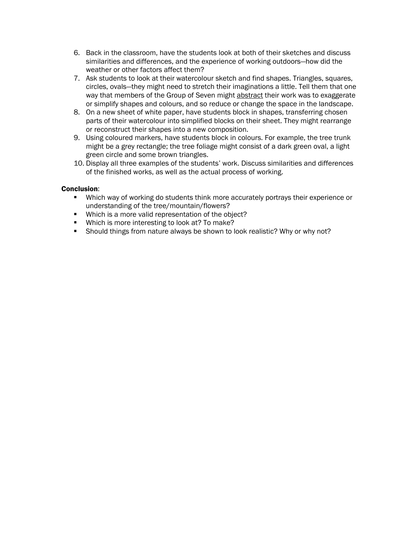- 6. Back in the classroom, have the students look at both of their sketches and discuss similarities and differences, and the experience of working outdoors—how did the weather or other factors affect them?
- 7. Ask students to look at their watercolour sketch and find shapes. Triangles, squares, circles, ovals—they might need to stretch their imaginations a little. Tell them that one way that members of the Group of Seven might abstract their work was to exaggerate or simplify shapes and colours, and so reduce or change the space in the landscape.
- 8. On a new sheet of white paper, have students block in shapes, transferring chosen parts of their watercolour into simplified blocks on their sheet. They might rearrange or reconstruct their shapes into a new composition.
- 9. Using coloured markers, have students block in colours. For example, the tree trunk might be a grey rectangle; the tree foliage might consist of a dark green oval, a light green circle and some brown triangles.
- 10. Display all three examples of the students' work. Discuss similarities and differences of the finished works, as well as the actual process of working.

### Conclusion:

- Which way of working do students think more accurately portrays their experience or understanding of the tree/mountain/flowers?
- Which is a more valid representation of the object?
- **Which is more interesting to look at? To make?**
- **Should things from nature always be shown to look realistic? Why or why not?**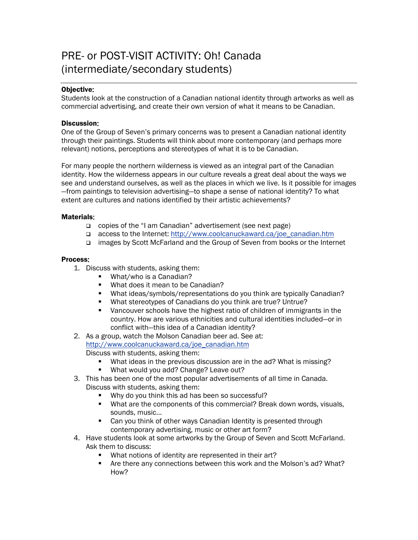# PRE- or POST-VISIT ACTIVITY: Oh! Canada (intermediate/secondary students)

### Objective:

Students look at the construction of a Canadian national identity through artworks as well as commercial advertising, and create their own version of what it means to be Canadian.

### Discussion:

One of the Group of Seven's primary concerns was to present a Canadian national identity through their paintings. Students will think about more contemporary (and perhaps more relevant) notions, perceptions and stereotypes of what it is to be Canadian.

For many people the northern wilderness is viewed as an integral part of the Canadian identity. How the wilderness appears in our culture reveals a great deal about the ways we see and understand ourselves, as well as the places in which we live. Is it possible for images —from paintings to television advertising—to shape a sense of national identity? To what extent are cultures and nations identified by their artistic achievements?

### Materials:

- copies of the "I am Canadian" advertisement (see next page)
- access to the Internet: [http://www.coolcanuckaward.ca/joe\\_canadian.htm](http://www.coolcanuckaward.ca/joe_canadian.htm)
- images by Scott McFarland and the Group of Seven from books or the Internet

### Process:

- 1. Discuss with students, asking them:
	- What/who is a Canadian?
	- **What does it mean to be Canadian?**
	- What ideas/symbols/representations do you think are typically Canadian?
	- What stereotypes of Canadians do you think are true? Untrue?
	- **•** Vancouver schools have the highest ratio of children of immigrants in the country. How are various ethnicities and cultural identities included—or in conflict with—this idea of a Canadian identity?
- 2. As a group, watch the Molson Canadian beer ad. See at: [http://www.coolcanuckaward.ca/joe\\_canadian.htm](http://www.coolcanuckaward.ca/joe_canadian.htm) Discuss with students, asking them:
	- What ideas in the previous discussion are in the ad? What is missing?
	- **What would you add? Change? Leave out?**
- 3. This has been one of the most popular advertisements of all time in Canada. Discuss with students, asking them:
	- Why do you think this ad has been so successful?
	- What are the components of this commercial? Break down words, visuals, sounds, music...
	- **Can you think of other ways Canadian Identity is presented through** contemporary advertising, music or other art form?
- 4. Have students look at some artworks by the Group of Seven and Scott McFarland. Ask them to discuss:
	- What notions of identity are represented in their art?
	- **F** Are there any connections between this work and the Molson's ad? What? How?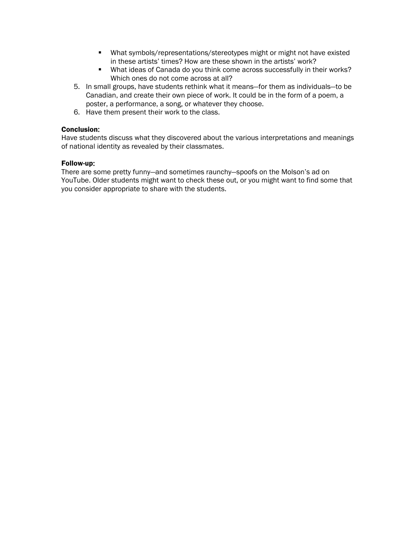- What symbols/representations/stereotypes might or might not have existed in these artists' times? How are these shown in the artists' work?
- What ideas of Canada do you think come across successfully in their works? Which ones do not come across at all?
- 5. In small groups, have students rethink what it means—for them as individuals—to be Canadian, and create their own piece of work. It could be in the form of a poem, a poster, a performance, a song, or whatever they choose.
- 6. Have them present their work to the class.

### Conclusion:

Have students discuss what they discovered about the various interpretations and meanings of national identity as revealed by their classmates.

### Follow-up:

There are some pretty funny—and sometimes raunchy—spoofs on the Molson's ad on YouTube. Older students might want to check these out, or you might want to find some that you consider appropriate to share with the students.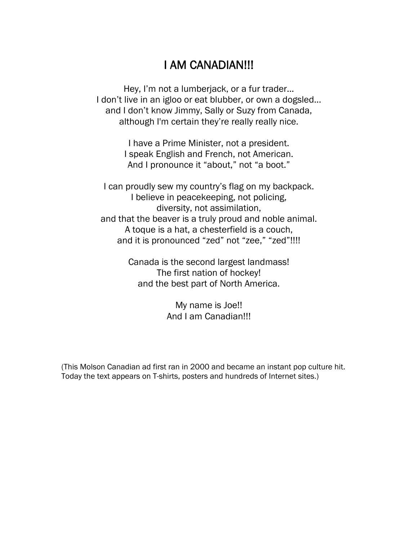# I AM CANADIAN!!!

Hey, I'm not a lumberjack, or a fur trader... I don't live in an igloo or eat blubber, or own a dogsled... and I don't know Jimmy, Sally or Suzy from Canada, although I'm certain they're really really nice.

> I have a Prime Minister, not a president. I speak English and French, not American. And I pronounce it "about," not "a boot."

I can proudly sew my country's flag on my backpack. I believe in peacekeeping, not policing, diversity, not assimilation, and that the beaver is a truly proud and noble animal. A toque is a hat, a chesterfield is a couch, and it is pronounced "zed" not "zee," "zed"!!!!

> Canada is the second largest landmass! The first nation of hockey! and the best part of North America.

> > My name is Joe!! And I am Canadian!!!

(This Molson Canadian ad first ran in 2000 and became an instant pop culture hit. Today the text appears on T-shirts, posters and hundreds of Internet sites.)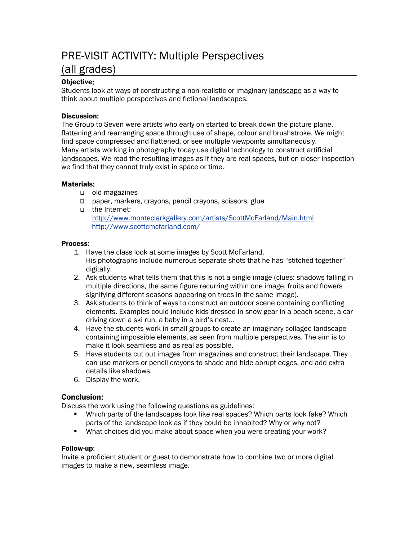# PRE-VISIT ACTIVITY: Multiple Perspectives (all grades)

### Objective:

Students look at ways of constructing a non-realistic or imaginary landscape as a way to think about multiple perspectives and fictional landscapes.

### Discussion:

The Group to Seven were artists who early on started to break down the picture plane, flattening and rearranging space through use of shape, colour and brushstroke. We might find space compressed and flattened, or see multiple viewpoints simultaneously. Many artists working in photography today use digital technology to construct artificial landscapes. We read the resulting images as if they are real spaces, but on closer inspection we find that they cannot truly exist in space or time.

### Materials:

- $\Box$  old magazines
- paper, markers, crayons, pencil crayons, scissors, glue
- the Internet: <http://www.monteclarkgallery.com/artists/ScottMcFarland/Main.html> <http://www.scottcmcfarland.com/>

### Process:

- 1. Have the class look at some images by Scott McFarland. His photographs include numerous separate shots that he has "stitched together" digitally.
- 2. Ask students what tells them that this is not a single image (clues: shadows falling in multiple directions, the same figure recurring within one image, fruits and flowers signifying different seasons appearing on trees in the same image).
- 3. Ask students to think of ways to construct an outdoor scene containing conflicting elements. Examples could include kids dressed in snow gear in a beach scene, a car driving down a ski run, a baby in a bird's nest...
- 4. Have the students work in small groups to create an imaginary collaged landscape containing impossible elements, as seen from multiple perspectives. The aim is to make it look seamless and as real as possible.
- 5. Have students cut out images from magazines and construct their landscape. They can use markers or pencil crayons to shade and hide abrupt edges, and add extra details like shadows.
- 6. Display the work.

### Conclusion:

Discuss the work using the following questions as guidelines:

- Which parts of the landscapes look like real spaces? Which parts look fake? Which parts of the landscape look as if they could be inhabited? Why or why not?
- What choices did you make about space when you were creating your work?

### Follow-up:

Invite a proficient student or guest to demonstrate how to combine two or more digital images to make a new, seamless image.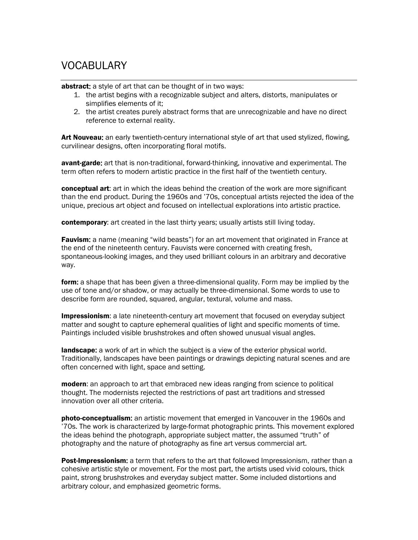# VOCABULARY

abstract: a style of art that can be thought of in two ways:

- 1. the artist begins with a recognizable subject and alters, distorts, manipulates or simplifies elements of it;
- 2. the artist creates purely abstract forms that are unrecognizable and have no direct reference to external reality.

Art Nouveau: an early twentieth-century international style of art that used stylized, flowing, curvilinear designs, often incorporating floral motifs.

avant-garde: art that is non-traditional, forward-thinking, innovative and experimental. The term often refers to modern artistic practice in the first half of the twentieth century.

**conceptual art:** art in which the ideas behind the creation of the work are more significant than the end product. During the 1960s and '70s, conceptual artists rejected the idea of the unique, precious art object and focused on intellectual explorations into artistic practice.

contemporary: art created in the last thirty years; usually artists still living today.

**Fauvism:** a name (meaning "wild beasts") for an art movement that originated in France at the end of the nineteenth century. Fauvists were concerned with creating fresh, spontaneous-looking images, and they used brilliant colours in an arbitrary and decorative way.

form: a shape that has been given a three-dimensional quality. Form may be implied by the use of tone and/or shadow, or may actually be three-dimensional. Some words to use to describe form are rounded, squared, angular, textural, volume and mass.

**Impressionism**: a late nineteenth-century art movement that focused on everyday subject matter and sought to capture ephemeral qualities of light and specific moments of time. Paintings included visible brushstrokes and often showed unusual visual angles.

**landscape:** a work of art in which the subject is a view of the exterior physical world. Traditionally, landscapes have been paintings or drawings depicting natural scenes and are often concerned with light, space and setting.

modern: an approach to art that embraced new ideas ranging from science to political thought. The modernists rejected the restrictions of past art traditions and stressed innovation over all other criteria.

**photo-conceptualism:** an artistic movement that emerged in Vancouver in the 1960s and '70s. The work is characterized by large-format photographic prints. This movement explored the ideas behind the photograph, appropriate subject matter, the assumed "truth" of photography and the nature of photography as fine art versus commercial art.

Post-Impressionism: a term that refers to the art that followed Impressionism, rather than a cohesive artistic style or movement. For the most part, the artists used vivid colours, thick paint, strong brushstrokes and everyday subject matter. Some included distortions and arbitrary colour, and emphasized geometric forms.